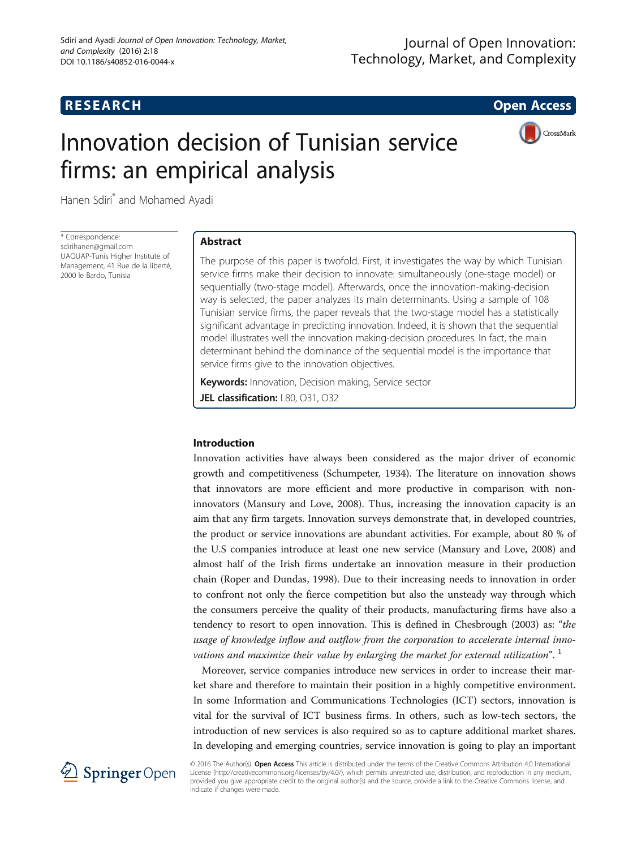# **RESEARCH RESEARCH CONSUMING ACCESS**

# Innovation decision of Tunisian service firms: an empirical analysis



Hanen Sdiri\* and Mohamed Ayadi

\* Correspondence: [sdirihanen@gmail.com](mailto:sdirihanen@gmail.com) UAQUAP-Tunis Higher Institute of Management, 41 Rue de la liberté, 2000 le Bardo, Tunisia

# Abstract

The purpose of this paper is twofold. First, it investigates the way by which Tunisian service firms make their decision to innovate: simultaneously (one-stage model) or sequentially (two-stage model). Afterwards, once the innovation-making-decision way is selected, the paper analyzes its main determinants. Using a sample of 108 Tunisian service firms, the paper reveals that the two-stage model has a statistically significant advantage in predicting innovation. Indeed, it is shown that the sequential model illustrates well the innovation making-decision procedures. In fact, the main determinant behind the dominance of the sequential model is the importance that service firms give to the innovation objectives.

Keywords: Innovation, Decision making, Service sector

JEL classification: L80, O31, O32

### Introduction

Innovation activities have always been considered as the major driver of economic growth and competitiveness (Schumpeter, [1934\)](#page-13-0). The literature on innovation shows that innovators are more efficient and more productive in comparison with noninnovators (Mansury and Love, [2008](#page-13-0)). Thus, increasing the innovation capacity is an aim that any firm targets. Innovation surveys demonstrate that, in developed countries, the product or service innovations are abundant activities. For example, about 80 % of the U.S companies introduce at least one new service (Mansury and Love, [2008\)](#page-13-0) and almost half of the Irish firms undertake an innovation measure in their production chain (Roper and Dundas, [1998](#page-13-0)). Due to their increasing needs to innovation in order to confront not only the fierce competition but also the unsteady way through which the consumers perceive the quality of their products, manufacturing firms have also a tendency to resort to open innovation. This is defined in Chesbrough [\(2003](#page-12-0)) as: "the usage of knowledge inflow and outflow from the corporation to accelerate internal innovations and maximize their value by enlarging the market for external utilization".  $^1$ 

Moreover, service companies introduce new services in order to increase their market share and therefore to maintain their position in a highly competitive environment. In some Information and Communications Technologies (ICT) sectors, innovation is vital for the survival of ICT business firms. In others, such as low-tech sectors, the introduction of new services is also required so as to capture additional market shares. In developing and emerging countries, service innovation is going to play an important



© 2016 The Author(s). Open Access This article is distributed under the terms of the Creative Commons Attribution 4.0 International License [\(http://creativecommons.org/licenses/by/4.0/](http://creativecommons.org/licenses/by/4.0/)), which permits unrestricted use, distribution, and reproduction in any medium, provided you give appropriate credit to the original author(s) and the source, provide a link to the Creative Commons license, and indicate if changes were made.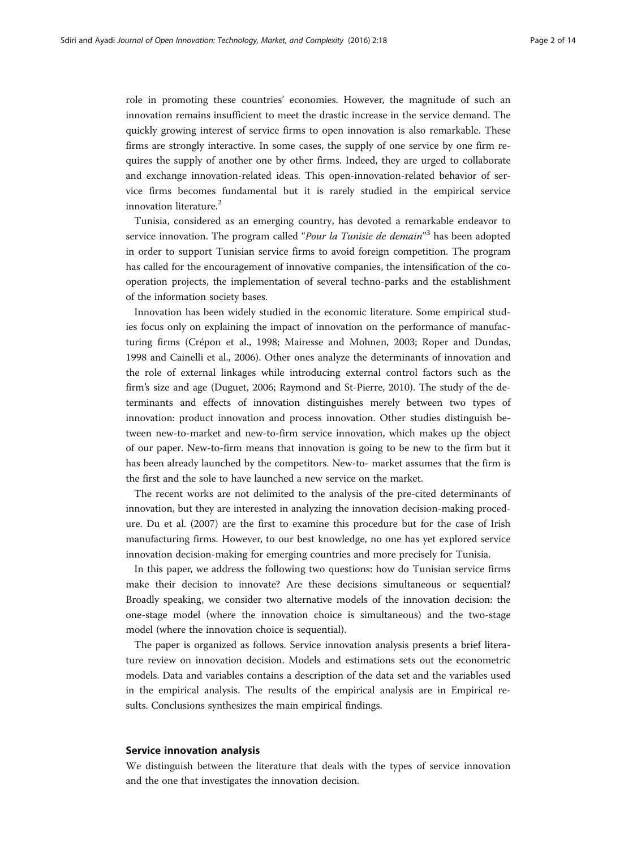role in promoting these countries' economies. However, the magnitude of such an innovation remains insufficient to meet the drastic increase in the service demand. The quickly growing interest of service firms to open innovation is also remarkable. These firms are strongly interactive. In some cases, the supply of one service by one firm requires the supply of another one by other firms. Indeed, they are urged to collaborate and exchange innovation-related ideas. This open-innovation-related behavior of service firms becomes fundamental but it is rarely studied in the empirical service innovation literature.<sup>2</sup>

Tunisia, considered as an emerging country, has devoted a remarkable endeavor to service innovation. The program called "Pour la Tunisie de demain"<sup>3</sup> has been adopted in order to support Tunisian service firms to avoid foreign competition. The program has called for the encouragement of innovative companies, the intensification of the cooperation projects, the implementation of several techno-parks and the establishment of the information society bases.

Innovation has been widely studied in the economic literature. Some empirical studies focus only on explaining the impact of innovation on the performance of manufacturing firms (Crépon et al., [1998](#page-12-0); Mairesse and Mohnen, [2003](#page-13-0); Roper and Dundas, [1998](#page-13-0) and Cainelli et al., [2006\)](#page-12-0). Other ones analyze the determinants of innovation and the role of external linkages while introducing external control factors such as the firm's size and age (Duguet, [2006;](#page-12-0) Raymond and St-Pierre, [2010](#page-13-0)). The study of the determinants and effects of innovation distinguishes merely between two types of innovation: product innovation and process innovation. Other studies distinguish between new-to-market and new-to-firm service innovation, which makes up the object of our paper. New-to-firm means that innovation is going to be new to the firm but it has been already launched by the competitors. New-to- market assumes that the firm is the first and the sole to have launched a new service on the market.

The recent works are not delimited to the analysis of the pre-cited determinants of innovation, but they are interested in analyzing the innovation decision-making procedure. Du et al. [\(2007\)](#page-12-0) are the first to examine this procedure but for the case of Irish manufacturing firms. However, to our best knowledge, no one has yet explored service innovation decision-making for emerging countries and more precisely for Tunisia.

In this paper, we address the following two questions: how do Tunisian service firms make their decision to innovate? Are these decisions simultaneous or sequential? Broadly speaking, we consider two alternative models of the innovation decision: the one-stage model (where the innovation choice is simultaneous) and the two-stage model (where the innovation choice is sequential).

The paper is organized as follows. Service innovation analysis presents a brief literature review on innovation decision. [Models and estimations](#page-3-0) sets out the econometric models. [Data and variables](#page-4-0) contains a description of the data set and the variables used in the empirical analysis. The results of the empirical analysis are in [Empirical re](#page-7-0)[sults](#page-7-0). [Conclusions](#page-11-0) synthesizes the main empirical findings.

#### Service innovation analysis

We distinguish between the literature that deals with the types of service innovation and the one that investigates the innovation decision.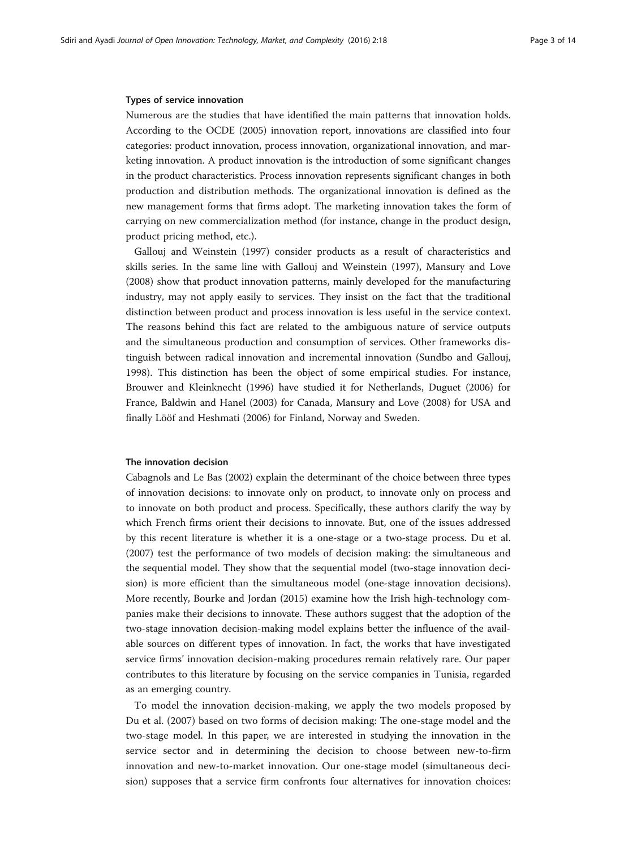#### Types of service innovation

Numerous are the studies that have identified the main patterns that innovation holds. According to the OCDE ([2005](#page-13-0)) innovation report, innovations are classified into four categories: product innovation, process innovation, organizational innovation, and marketing innovation. A product innovation is the introduction of some significant changes in the product characteristics. Process innovation represents significant changes in both production and distribution methods. The organizational innovation is defined as the new management forms that firms adopt. The marketing innovation takes the form of carrying on new commercialization method (for instance, change in the product design, product pricing method, etc.).

Gallouj and Weinstein [\(1997](#page-12-0)) consider products as a result of characteristics and skills series. In the same line with Gallouj and Weinstein [\(1997\)](#page-12-0), Mansury and Love ([2008](#page-13-0)) show that product innovation patterns, mainly developed for the manufacturing industry, may not apply easily to services. They insist on the fact that the traditional distinction between product and process innovation is less useful in the service context. The reasons behind this fact are related to the ambiguous nature of service outputs and the simultaneous production and consumption of services. Other frameworks distinguish between radical innovation and incremental innovation (Sundbo and Gallouj, [1998](#page-13-0)). This distinction has been the object of some empirical studies. For instance, Brouwer and Kleinknecht [\(1996\)](#page-12-0) have studied it for Netherlands, Duguet ([2006](#page-12-0)) for France, Baldwin and Hanel ([2003](#page-12-0)) for Canada, Mansury and Love ([2008](#page-13-0)) for USA and finally Lööf and Heshmati [\(2006\)](#page-13-0) for Finland, Norway and Sweden.

# The innovation decision

Cabagnols and Le Bas ([2002](#page-12-0)) explain the determinant of the choice between three types of innovation decisions: to innovate only on product, to innovate only on process and to innovate on both product and process. Specifically, these authors clarify the way by which French firms orient their decisions to innovate. But, one of the issues addressed by this recent literature is whether it is a one-stage or a two-stage process. Du et al. ([2007](#page-12-0)) test the performance of two models of decision making: the simultaneous and the sequential model. They show that the sequential model (two-stage innovation decision) is more efficient than the simultaneous model (one-stage innovation decisions). More recently, Bourke and Jordan [\(2015\)](#page-12-0) examine how the Irish high-technology companies make their decisions to innovate. These authors suggest that the adoption of the two-stage innovation decision-making model explains better the influence of the available sources on different types of innovation. In fact, the works that have investigated service firms' innovation decision-making procedures remain relatively rare. Our paper contributes to this literature by focusing on the service companies in Tunisia, regarded as an emerging country.

To model the innovation decision-making, we apply the two models proposed by Du et al. ([2007](#page-12-0)) based on two forms of decision making: The one-stage model and the two-stage model. In this paper, we are interested in studying the innovation in the service sector and in determining the decision to choose between new-to-firm innovation and new-to-market innovation. Our one-stage model (simultaneous decision) supposes that a service firm confronts four alternatives for innovation choices: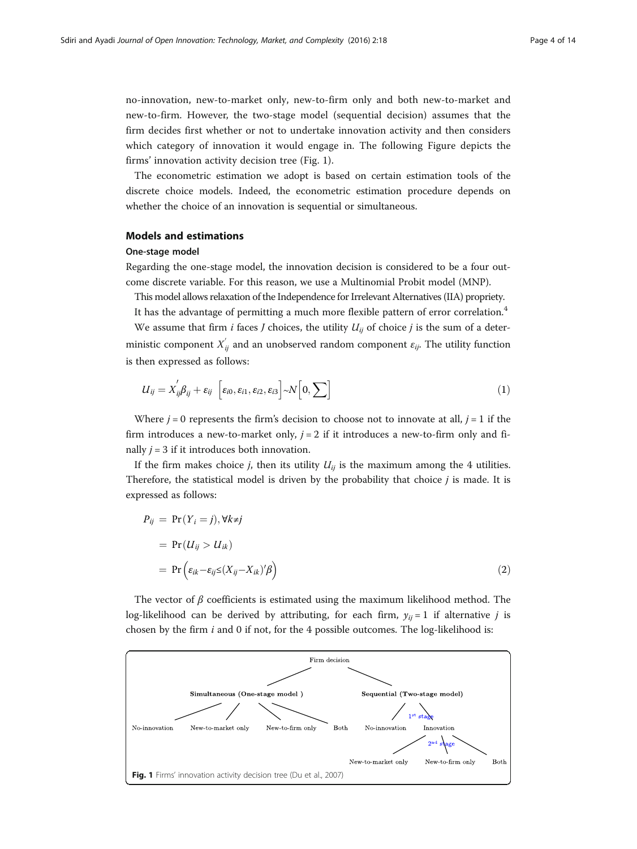<span id="page-3-0"></span>no-innovation, new-to-market only, new-to-firm only and both new-to-market and new-to-firm. However, the two-stage model (sequential decision) assumes that the firm decides first whether or not to undertake innovation activity and then considers which category of innovation it would engage in. The following Figure depicts the firms' innovation activity decision tree (Fig. 1).

The econometric estimation we adopt is based on certain estimation tools of the discrete choice models. Indeed, the econometric estimation procedure depends on whether the choice of an innovation is sequential or simultaneous.

#### Models and estimations

#### One-stage model

Regarding the one-stage model, the innovation decision is considered to be a four outcome discrete variable. For this reason, we use a Multinomial Probit model (MNP).

This model allows relaxation of the Independence for Irrelevant Alternatives (IIA) propriety.

It has the advantage of permitting a much more flexible pattern of error correlation.<sup>4</sup> We assume that firm i faces *J* choices, the utility  $U_{ij}$  of choice *j* is the sum of a deterministic component  $X_{ij}^{'}$  and an unobserved random component  $\varepsilon_{ij}$ . The utility function

is then expressed as follows:

$$
U_{ij} = X_{ij}'\beta_{ij} + \varepsilon_{ij} \left[\varepsilon_{i0}, \varepsilon_{i1}, \varepsilon_{i2}, \varepsilon_{i3}\right] \sim N\left[0, \sum\right]
$$
 (1)

Where  $j = 0$  represents the firm's decision to choose not to innovate at all,  $j = 1$  if the firm introduces a new-to-market only,  $j = 2$  if it introduces a new-to-firm only and finally  $j = 3$  if it introduces both innovation.

If the firm makes choice *j*, then its utility  $U_{ij}$  is the maximum among the 4 utilities. Therefore, the statistical model is driven by the probability that choice  $j$  is made. It is expressed as follows:

$$
P_{ij} = \Pr(Y_i = j), \forall k \neq j
$$
  
= 
$$
\Pr(U_{ij} > U_{ik})
$$
  
= 
$$
\Pr\left(\varepsilon_{ik} - \varepsilon_{ij} \le (X_{ij} - X_{ik})'\beta\right)
$$
 (2)

The vector of  $\beta$  coefficients is estimated using the maximum likelihood method. The log-likelihood can be derived by attributing, for each firm,  $y_{ii} = 1$  if alternative j is chosen by the firm  $i$  and 0 if not, for the 4 possible outcomes. The log-likelihood is:

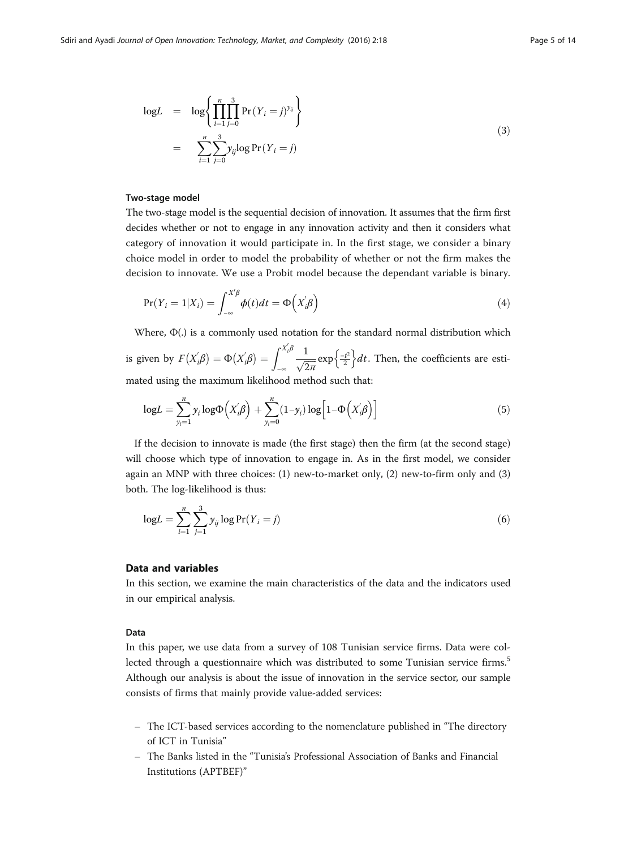<span id="page-4-0"></span>
$$
\begin{array}{rcl}\n\log L & = & \log \left\{ \prod_{i=1}^{n} \prod_{j=0}^{3} \Pr(Y_i = j)^{y_{ij}} \right\} \\
& = & \sum_{i=1}^{n} \sum_{j=0}^{3} y_{ij} \log \Pr(Y_i = j)\n\end{array} \tag{3}
$$

### Two-stage model

The two-stage model is the sequential decision of innovation. It assumes that the firm first decides whether or not to engage in any innovation activity and then it considers what category of innovation it would participate in. In the first stage, we consider a binary choice model in order to model the probability of whether or not the firm makes the decision to innovate. We use a Probit model because the dependant variable is binary.

$$
Pr(Y_i = 1 | X_i) = \int_{-\infty}^{X'\beta} \phi(t)dt = \Phi\left(X_i'\beta\right)
$$
\n(4)

Where, Φ(.) is a commonly used notation for the standard normal distribution which is given by  $F(X_i'\beta) = \Phi(X_i'\beta) =$  $\int^{X_i'\beta}$ −∞ 1  $\frac{1}{\sqrt{2\pi}} \exp\left\{\frac{-t^2}{2}\right\} dt$ . Then, the coefficients are estimated using the maximum likelihood method such that:

$$
\log L = \sum_{y_i=1}^n y_i \log \Phi\left(X_i \beta\right) + \sum_{y_i=0}^n (1 - y_i) \log \left[1 - \Phi\left(X_i \beta\right)\right] \tag{5}
$$

If the decision to innovate is made (the first stage) then the firm (at the second stage) will choose which type of innovation to engage in. As in the first model, we consider again an MNP with three choices: (1) new-to-market only, (2) new-to-firm only and (3) both. The log-likelihood is thus:

$$
\log L = \sum_{i=1}^{n} \sum_{j=1}^{3} y_{ij} \log \Pr(Y_i = j)
$$
\n(6)

#### Data and variables

In this section, we examine the main characteristics of the data and the indicators used in our empirical analysis.

#### Data

In this paper, we use data from a survey of 108 Tunisian service firms. Data were collected through a questionnaire which was distributed to some Tunisian service firms.<sup>5</sup> Although our analysis is about the issue of innovation in the service sector, our sample consists of firms that mainly provide value-added services:

- The ICT-based services according to the nomenclature published in "The directory of ICT in Tunisia"
- The Banks listed in the "Tunisia's Professional Association of Banks and Financial Institutions (APTBEF)"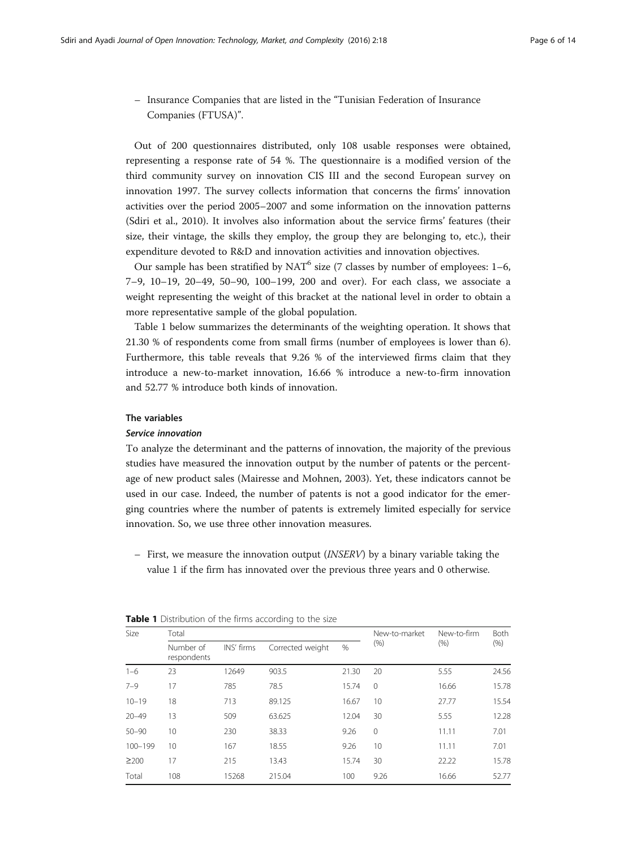– Insurance Companies that are listed in the "Tunisian Federation of Insurance Companies (FTUSA)".

Out of 200 questionnaires distributed, only 108 usable responses were obtained, representing a response rate of 54 %. The questionnaire is a modified version of the third community survey on innovation CIS III and the second European survey on innovation 1997. The survey collects information that concerns the firms' innovation activities over the period 2005–2007 and some information on the innovation patterns (Sdiri et al., [2010\)](#page-13-0). It involves also information about the service firms' features (their size, their vintage, the skills they employ, the group they are belonging to, etc.), their expenditure devoted to R&D and innovation activities and innovation objectives.

Our sample has been stratified by NAT<sup>6</sup> size (7 classes by number of employees:  $1-6$ , 7–9, 10–19, 20–49, 50–90, 100–199, 200 and over). For each class, we associate a weight representing the weight of this bracket at the national level in order to obtain a more representative sample of the global population.

Table 1 below summarizes the determinants of the weighting operation. It shows that 21.30 % of respondents come from small firms (number of employees is lower than 6). Furthermore, this table reveals that 9.26 % of the interviewed firms claim that they introduce a new-to-market innovation, 16.66 % introduce a new-to-firm innovation and 52.77 % introduce both kinds of innovation.

#### The variables

#### Service innovation

To analyze the determinant and the patterns of innovation, the majority of the previous studies have measured the innovation output by the number of patents or the percentage of new product sales (Mairesse and Mohnen, [2003](#page-13-0)). Yet, these indicators cannot be used in our case. Indeed, the number of patents is not a good indicator for the emerging countries where the number of patents is extremely limited especially for service innovation. So, we use three other innovation measures.

– First, we measure the innovation output ( $INSERV$ ) by a binary variable taking the value 1 if the firm has innovated over the previous three years and 0 otherwise.

| Size        | Total                    |            |                  | New-to-market | New-to-firm    | Both  |       |
|-------------|--------------------------|------------|------------------|---------------|----------------|-------|-------|
|             | Number of<br>respondents | INS' firms | Corrected weight | $\%$          | (% )           | (% )  | (% )  |
| $1 - 6$     | 23                       | 12649      | 903.5            | 21.30         | 20             | 5.55  | 24.56 |
| $7 - 9$     | 17                       | 785        | 78.5             | 15.74         | $\overline{0}$ | 16.66 | 15.78 |
| $10 - 19$   | 18                       | 713        | 89.125           | 16.67         | 10             | 27.77 | 15.54 |
| $20 - 49$   | 13                       | 509        | 63.625           | 12.04         | 30             | 5.55  | 12.28 |
| $50 - 90$   | 10                       | 230        | 38.33            | 9.26          | $\overline{0}$ | 11.11 | 7.01  |
| $100 - 199$ | 10 <sup>°</sup>          | 167        | 18.55            | 9.26          | 10             | 11.11 | 7.01  |
| $\geq$ 200  | 17                       | 215        | 13.43            | 15.74         | 30             | 22.22 | 15.78 |
| Total       | 108                      | 15268      | 215.04           | 100           | 9.26           | 16.66 | 52.77 |

| Table 1 Distribution of the firms according to the size |  |
|---------------------------------------------------------|--|
|---------------------------------------------------------|--|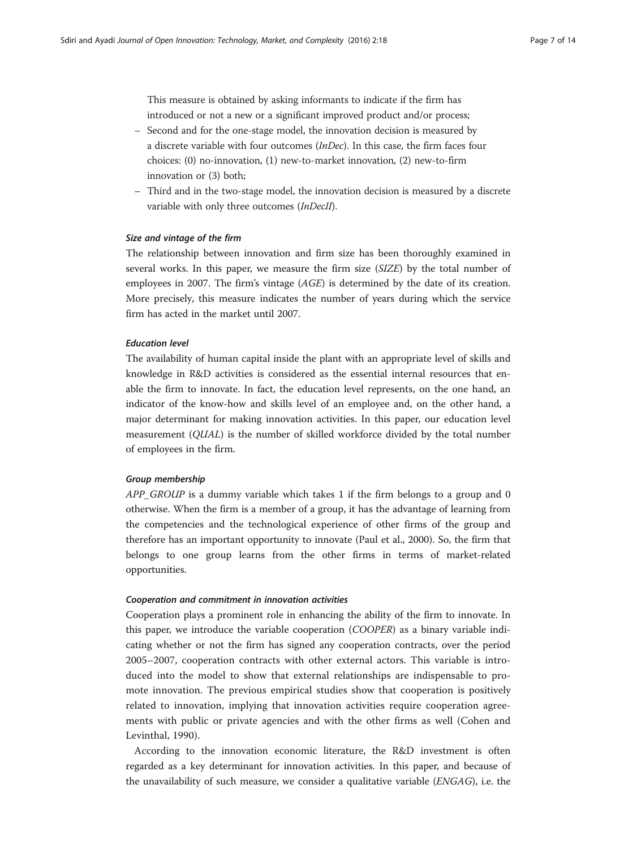This measure is obtained by asking informants to indicate if the firm has introduced or not a new or a significant improved product and/or process;

- Second and for the one-stage model, the innovation decision is measured by a discrete variable with four outcomes  $(InDec)$ . In this case, the firm faces four choices: (0) no-innovation, (1) new-to-market innovation, (2) new-to-firm innovation or (3) both;
- Third and in the two-stage model, the innovation decision is measured by a discrete variable with only three outcomes (InDecII).

#### Size and vintage of the firm

The relationship between innovation and firm size has been thoroughly examined in several works. In this paper, we measure the firm size (SIZE) by the total number of employees in 2007. The firm's vintage (AGE) is determined by the date of its creation. More precisely, this measure indicates the number of years during which the service firm has acted in the market until 2007.

# Education level

The availability of human capital inside the plant with an appropriate level of skills and knowledge in R&D activities is considered as the essential internal resources that enable the firm to innovate. In fact, the education level represents, on the one hand, an indicator of the know-how and skills level of an employee and, on the other hand, a major determinant for making innovation activities. In this paper, our education level measurement (QUAL) is the number of skilled workforce divided by the total number of employees in the firm.

#### Group membership

APP\_GROUP is a dummy variable which takes 1 if the firm belongs to a group and 0 otherwise. When the firm is a member of a group, it has the advantage of learning from the competencies and the technological experience of other firms of the group and therefore has an important opportunity to innovate (Paul et al., [2000](#page-13-0)). So, the firm that belongs to one group learns from the other firms in terms of market-related opportunities.

#### Cooperation and commitment in innovation activities

Cooperation plays a prominent role in enhancing the ability of the firm to innovate. In this paper, we introduce the variable cooperation (COOPER) as a binary variable indicating whether or not the firm has signed any cooperation contracts, over the period 2005–2007, cooperation contracts with other external actors. This variable is introduced into the model to show that external relationships are indispensable to promote innovation. The previous empirical studies show that cooperation is positively related to innovation, implying that innovation activities require cooperation agreements with public or private agencies and with the other firms as well (Cohen and Levinthal, [1990\)](#page-12-0).

According to the innovation economic literature, the R&D investment is often regarded as a key determinant for innovation activities. In this paper, and because of the unavailability of such measure, we consider a qualitative variable  $(ENGAG)$ , i.e. the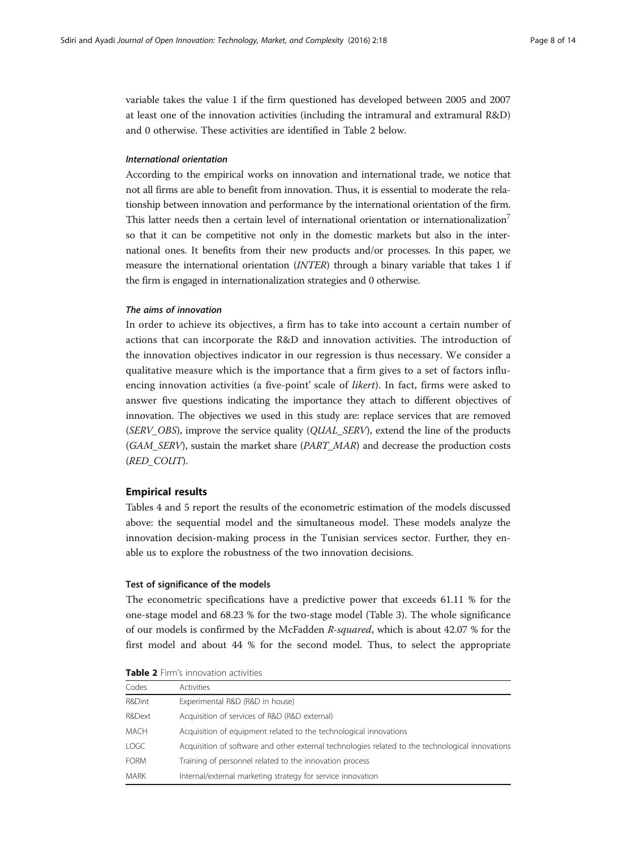<span id="page-7-0"></span>variable takes the value 1 if the firm questioned has developed between 2005 and 2007 at least one of the innovation activities (including the intramural and extramural R&D) and 0 otherwise. These activities are identified in Table 2 below.

#### International orientation

According to the empirical works on innovation and international trade, we notice that not all firms are able to benefit from innovation. Thus, it is essential to moderate the relationship between innovation and performance by the international orientation of the firm. This latter needs then a certain level of international orientation or internationalization<sup>7</sup> so that it can be competitive not only in the domestic markets but also in the international ones. It benefits from their new products and/or processes. In this paper, we measure the international orientation (INTER) through a binary variable that takes 1 if the firm is engaged in internationalization strategies and 0 otherwise.

#### The aims of innovation

In order to achieve its objectives, a firm has to take into account a certain number of actions that can incorporate the R&D and innovation activities. The introduction of the innovation objectives indicator in our regression is thus necessary. We consider a qualitative measure which is the importance that a firm gives to a set of factors influencing innovation activities (a five-point' scale of likert). In fact, firms were asked to answer five questions indicating the importance they attach to different objectives of innovation. The objectives we used in this study are: replace services that are removed (SERV\_OBS), improve the service quality (QUAL\_SERV), extend the line of the products  $(GAM$  SERV), sustain the market share (PART\_MAR) and decrease the production costs (RED\_COUT).

#### Empirical results

Tables [4](#page-9-0) and [5](#page-10-0) report the results of the econometric estimation of the models discussed above: the sequential model and the simultaneous model. These models analyze the innovation decision-making process in the Tunisian services sector. Further, they enable us to explore the robustness of the two innovation decisions.

#### Test of significance of the models

The econometric specifications have a predictive power that exceeds 61.11 % for the one-stage model and 68.23 % for the two-stage model (Table [3](#page-8-0)). The whole significance of our models is confirmed by the McFadden R-squared, which is about 42.07 % for the first model and about 44 % for the second model. Thus, to select the appropriate

| Codes       | <b>Activities</b>                                                                                |
|-------------|--------------------------------------------------------------------------------------------------|
| R&Dint      | Experimental R&D (R&D in house)                                                                  |
| R&Dext      | Acquisition of services of R&D (R&D external)                                                    |
| <b>MACH</b> | Acquisition of equipment related to the technological innovations                                |
| <b>LOGC</b> | Acquisition of software and other external technologies related to the technological innovations |
| <b>FORM</b> | Training of personnel related to the innovation process                                          |
| <b>MARK</b> | Internal/external marketing strategy for service innovation                                      |

Table 2 Firm's innovation activities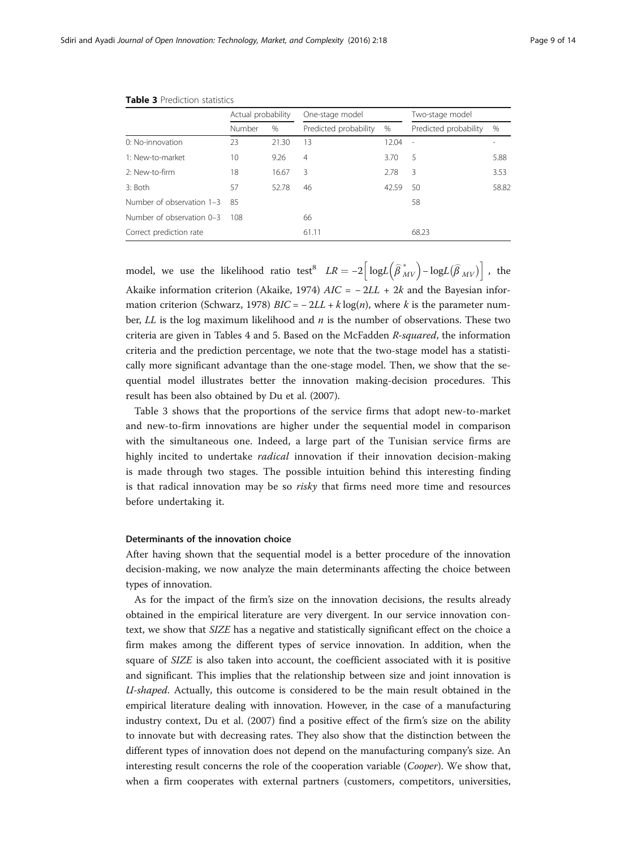|                           | Actual probability |       | One-stage model       |       | Two-stage model       |       |  |
|---------------------------|--------------------|-------|-----------------------|-------|-----------------------|-------|--|
|                           | Number             | $\%$  | Predicted probability | $\%$  | Predicted probability | %     |  |
| 0: No-innovation          | 23                 | 21.30 | 13                    | 12.04 | $\sim$                |       |  |
| 1: New-to-market          | 10                 | 9.26  | 4                     | 3.70  | 5                     | 5.88  |  |
| 2: New-to-firm            | 18                 | 16.67 | 3                     | 2.78  | 3                     | 3.53  |  |
| $3:$ Both                 | 57                 | 52.78 | 46                    | 42.59 | 50                    | 58.82 |  |
| Number of observation 1-3 | -85                |       |                       |       | 58                    |       |  |
| Number of observation 0-3 | 108                |       | 66                    |       |                       |       |  |
| Correct prediction rate   |                    |       | 61.11                 |       | 68.23                 |       |  |

#### <span id="page-8-0"></span>Table 3 Prediction statistics

model, we use the likelihood ratio test $^8$   $LR = -2 \Big[ \log\! L \Big( \widehat{\boldsymbol{\beta}}^*_{MV} \Big) - \log\! L \big( \widehat{\boldsymbol{\beta}}^*_{MV} \big) \Big]$  , the Akaike information criterion (Akaike, [1974](#page-12-0))  $AIC = -2LL + 2k$  and the Bayesian infor-mation criterion (Schwarz, [1978\)](#page-13-0)  $BIC = -2LL + k \log(n)$ , where k is the parameter number, LL is the log maximum likelihood and  $n$  is the number of observations. These two criteria are given in Tables [4](#page-9-0) and [5.](#page-10-0) Based on the McFadden R-squared, the information criteria and the prediction percentage, we note that the two-stage model has a statistically more significant advantage than the one-stage model. Then, we show that the sequential model illustrates better the innovation making-decision procedures. This result has been also obtained by Du et al. ([2007\)](#page-12-0).

Table 3 shows that the proportions of the service firms that adopt new-to-market and new-to-firm innovations are higher under the sequential model in comparison with the simultaneous one. Indeed, a large part of the Tunisian service firms are highly incited to undertake *radical* innovation if their innovation decision-making is made through two stages. The possible intuition behind this interesting finding is that radical innovation may be so risky that firms need more time and resources before undertaking it.

#### Determinants of the innovation choice

After having shown that the sequential model is a better procedure of the innovation decision-making, we now analyze the main determinants affecting the choice between types of innovation.

As for the impact of the firm's size on the innovation decisions, the results already obtained in the empirical literature are very divergent. In our service innovation context, we show that SIZE has a negative and statistically significant effect on the choice a firm makes among the different types of service innovation. In addition, when the square of SIZE is also taken into account, the coefficient associated with it is positive and significant. This implies that the relationship between size and joint innovation is U-shaped. Actually, this outcome is considered to be the main result obtained in the empirical literature dealing with innovation. However, in the case of a manufacturing industry context, Du et al. [\(2007](#page-12-0)) find a positive effect of the firm's size on the ability to innovate but with decreasing rates. They also show that the distinction between the different types of innovation does not depend on the manufacturing company's size. An interesting result concerns the role of the cooperation variable *(Cooper)*. We show that, when a firm cooperates with external partners (customers, competitors, universities,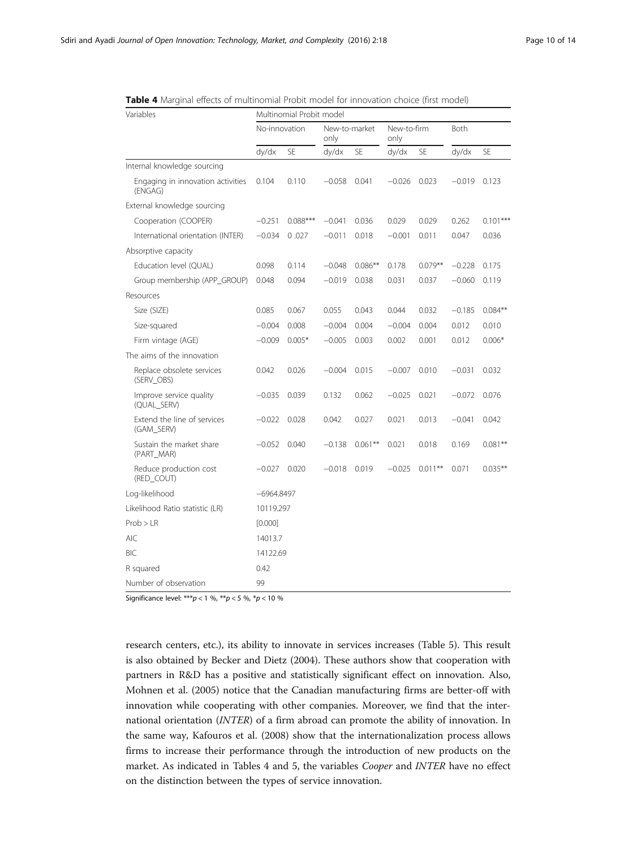| Variables                                    | Multinomial Probit model |            |                       |           |                     |           |             |            |  |
|----------------------------------------------|--------------------------|------------|-----------------------|-----------|---------------------|-----------|-------------|------------|--|
|                                              | No-innovation            |            | New-to-market<br>only |           | New-to-firm<br>only |           | <b>Both</b> |            |  |
|                                              | dy/dx                    | <b>SE</b>  | dy/dx                 | <b>SE</b> | dy/dx               | <b>SE</b> | dy/dx       | <b>SE</b>  |  |
| Internal knowledge sourcing                  |                          |            |                       |           |                     |           |             |            |  |
| Engaging in innovation activities<br>(ENGAG) | 0.104                    | 0.110      | $-0.058$              | 0.041     | $-0.026$            | 0.023     | $-0.019$    | 0.123      |  |
| External knowledge sourcing                  |                          |            |                       |           |                     |           |             |            |  |
| Cooperation (COOPER)                         | $-0.251$                 | $0.088***$ | $-0.041$              | 0.036     | 0.029               | 0.029     | 0.262       | $0.101***$ |  |
| International orientation (INTER)            | $-0.034$                 | 0.027      | $-0.011$              | 0.018     | $-0.001$            | 0.011     | 0.047       | 0.036      |  |
| Absorptive capacity                          |                          |            |                       |           |                     |           |             |            |  |
| Education level (QUAL)                       | 0.098                    | 0.114      | $-0.048$              | $0.086**$ | 0.178               | $0.079**$ | $-0.228$    | 0.175      |  |
| Group membership (APP_GROUP)                 | 0.048                    | 0.094      | $-0.019$              | 0.038     | 0.031               | 0.037     | $-0.060$    | 0.119      |  |
| Resources                                    |                          |            |                       |           |                     |           |             |            |  |
| Size (SIZE)                                  | 0.085                    | 0.067      | 0.055                 | 0.043     | 0.044               | 0.032     | $-0.185$    | $0.084**$  |  |
| Size-squared                                 | $-0.004$                 | 0.008      | $-0.004$              | 0.004     | $-0.004$            | 0.004     | 0.012       | 0.010      |  |
| Firm vintage (AGE)                           | $-0.009$                 | $0.005*$   | $-0.005$              | 0.003     | 0.002               | 0.001     | 0.012       | $0.006*$   |  |
| The aims of the innovation                   |                          |            |                       |           |                     |           |             |            |  |
| Replace obsolete services<br>(SERV_OBS)      | 0.042                    | 0.026      | $-0.004$              | 0.015     | $-0.007$            | 0.010     | $-0.031$    | 0.032      |  |
| Improve service quality<br>(QUAL_SERV)       | $-0.035$                 | 0.039      | 0.132                 | 0.062     | $-0.025$            | 0.021     | $-0.072$    | 0.076      |  |
| Extend the line of services<br>(GAM_SERV)    | $-0.022$                 | 0.028      | 0.042                 | 0.027     | 0.021               | 0.013     | $-0.041$    | 0.042      |  |
| Sustain the market share<br>(PART_MAR)       | $-0.052$                 | 0.040      | $-0.138$              | $0.061**$ | 0.021               | 0.018     | 0.169       | $0.081**$  |  |
| Reduce production cost<br>(RED_COUT)         | $-0.027$                 | 0.020      | $-0.018$              | 0.019     | $-0.025$            | $0.011**$ | 0.071       | $0.035***$ |  |
| Log-likelihood                               | $-6964.8497$             |            |                       |           |                     |           |             |            |  |
| Likelihood Ratio statistic (LR)              | 10119.297                |            |                       |           |                     |           |             |            |  |
| Prob > LR                                    | [0.000]                  |            |                       |           |                     |           |             |            |  |
| <b>AIC</b>                                   | 14013.7                  |            |                       |           |                     |           |             |            |  |
| <b>BIC</b>                                   | 14122.69                 |            |                       |           |                     |           |             |            |  |
| R squared                                    | 0.42                     |            |                       |           |                     |           |             |            |  |
| Number of observation                        | 99                       |            |                       |           |                     |           |             |            |  |

<span id="page-9-0"></span>Table 4 Marginal effects of multinomial Probit model for innovation choice (first model)

Significance level: \*\*\* $p < 1$  %, \*\* $p < 5$  %, \* $p < 10$  %

research centers, etc.), its ability to innovate in services increases (Table [5\)](#page-10-0). This result is also obtained by Becker and Dietz ([2004](#page-12-0)). These authors show that cooperation with partners in R&D has a positive and statistically significant effect on innovation. Also, Mohnen et al. [\(2005](#page-13-0)) notice that the Canadian manufacturing firms are better-off with innovation while cooperating with other companies. Moreover, we find that the international orientation (INTER) of a firm abroad can promote the ability of innovation. In the same way, Kafouros et al. ([2008](#page-13-0)) show that the internationalization process allows firms to increase their performance through the introduction of new products on the market. As indicated in Tables 4 and [5](#page-10-0), the variables Cooper and INTER have no effect on the distinction between the types of service innovation.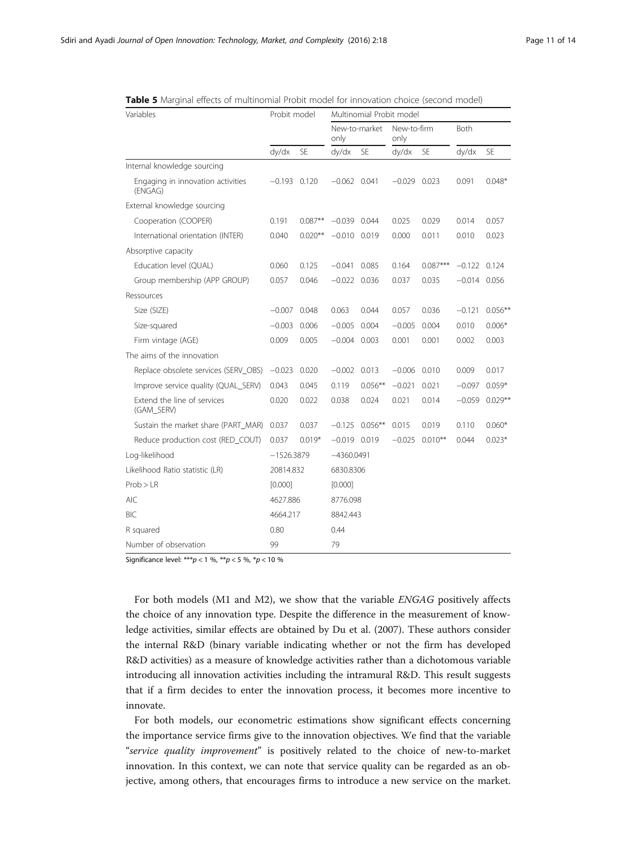| Variables                                    | Probit model   |           | Multinomial Probit model |           |                     |            |                |           |
|----------------------------------------------|----------------|-----------|--------------------------|-----------|---------------------|------------|----------------|-----------|
|                                              |                |           | New-to-market<br>only    |           | New-to-firm<br>only |            | <b>Both</b>    |           |
|                                              | dy/dx          | <b>SE</b> | dy/dx                    | <b>SE</b> | dy/dx               | SE         | dy/dx          | SE        |
| Internal knowledge sourcing                  |                |           |                          |           |                     |            |                |           |
| Engaging in innovation activities<br>(ENGAG) | $-0.193$ 0.120 |           | $-0.062$ 0.041           |           | $-0.029$ 0.023      |            | 0.091          | $0.048*$  |
| External knowledge sourcing                  |                |           |                          |           |                     |            |                |           |
| Cooperation (COOPER)                         | 0.191          | $0.087**$ | $-0.039$                 | 0.044     | 0.025               | 0.029      | 0.014          | 0.057     |
| International orientation (INTER)            | 0.040          | $0.020**$ | $-0.010$                 | 0.019     | 0.000               | 0.011      | 0.010          | 0.023     |
| Absorptive capacity                          |                |           |                          |           |                     |            |                |           |
| Education level (QUAL)                       | 0.060          | 0.125     | $-0.041$                 | 0.085     | 0.164               | $0.087***$ | $-0.122$       | 0.124     |
| Group membership (APP GROUP)                 | 0.057          | 0.046     | $-0.022$ 0.036           |           | 0.037               | 0.035      | $-0.014$ 0.056 |           |
| Ressources                                   |                |           |                          |           |                     |            |                |           |
| Size (SIZE)                                  | $-0.007$       | 0.048     | 0.063                    | 0.044     | 0.057               | 0.036      | $-0.121$       | $0.056**$ |
| Size-squared                                 | $-0.003$       | 0.006     | $-0.005$                 | 0.004     | $-0.005$            | 0.004      | 0.010          | $0.006*$  |
| Firm vintage (AGE)                           | 0.009          | 0.005     | $-0.004$ 0.003           |           | 0.001               | 0.001      | 0.002          | 0.003     |
| The aims of the innovation                   |                |           |                          |           |                     |            |                |           |
| Replace obsolete services (SERV_OBS)         | $-0.023$       | 0.020     | $-0.002$ 0.013           |           | $-0.006$            | 0.010      | 0.009          | 0.017     |
| Improve service quality (QUAL_SERV)          | 0.043          | 0.045     | 0.119                    | $0.056**$ | $-0.021$            | 0.021      | $-0.097$       | $0.059*$  |
| Extend the line of services<br>(GAM_SERV)    | 0.020          | 0.022     | 0.038                    | 0.024     | 0.021               | 0.014      | $-0.059$       | $0.029**$ |
| Sustain the market share (PART MAR)          | 0.037          | 0.037     | $-0.125$                 | $0.056**$ | 0.015               | 0.019      | 0.110          | $0.060*$  |
| Reduce production cost (RED_COUT)            | 0.037          | $0.019*$  | $-0.019$ 0.019           |           | $-0.025$            | $0.010**$  | 0.044          | $0.023*$  |
| Log-likelihood                               | $-1526.3879$   |           | $-4360.0491$             |           |                     |            |                |           |
| Likelihood Ratio statistic (LR)              | 20814.832      |           |                          | 6830.8306 |                     |            |                |           |
| Prob > LR                                    | [0.000]        |           | [0.000]                  |           |                     |            |                |           |
| AIC                                          | 4627.886       |           | 8776.098                 |           |                     |            |                |           |
| BIC                                          | 4664.217       |           | 8842.443                 |           |                     |            |                |           |
| R squared                                    | 0.80           |           | 0.44                     |           |                     |            |                |           |
| Number of observation                        | 99             |           | 79                       |           |                     |            |                |           |

<span id="page-10-0"></span>Table 5 Marginal effects of multinomial Probit model for innovation choice (second model)

Significance level: \*\*\* $p$  < 1 %, \*\* $p$  < 5 %, \* $p$  < 10 %

For both models (M1 and M2), we show that the variable ENGAG positively affects the choice of any innovation type. Despite the difference in the measurement of knowledge activities, similar effects are obtained by Du et al. [\(2007\)](#page-12-0). These authors consider the internal R&D (binary variable indicating whether or not the firm has developed R&D activities) as a measure of knowledge activities rather than a dichotomous variable introducing all innovation activities including the intramural R&D. This result suggests that if a firm decides to enter the innovation process, it becomes more incentive to innovate.

For both models, our econometric estimations show significant effects concerning the importance service firms give to the innovation objectives. We find that the variable "service quality improvement" is positively related to the choice of new-to-market innovation. In this context, we can note that service quality can be regarded as an objective, among others, that encourages firms to introduce a new service on the market.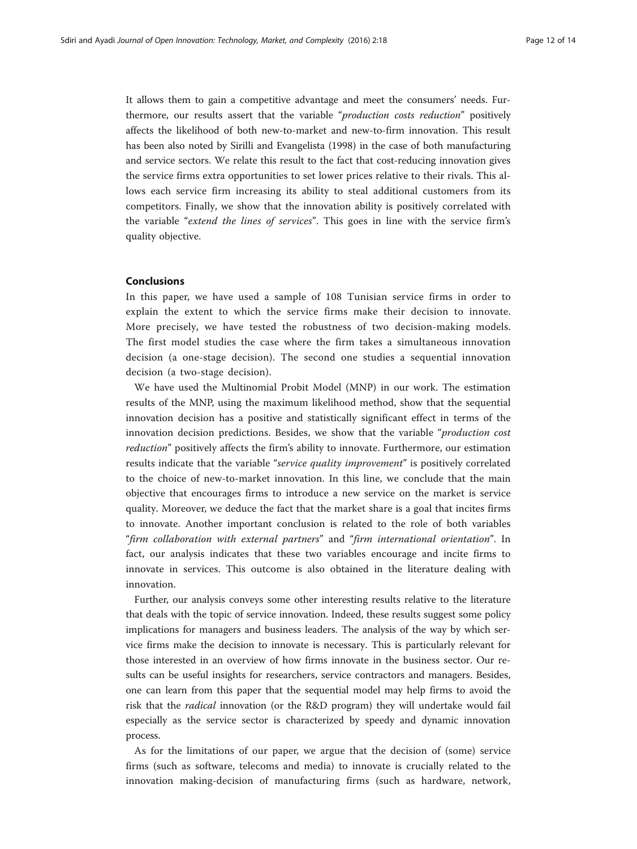<span id="page-11-0"></span>It allows them to gain a competitive advantage and meet the consumers' needs. Furthermore, our results assert that the variable "production costs reduction" positively affects the likelihood of both new-to-market and new-to-firm innovation. This result has been also noted by Sirilli and Evangelista [\(1998\)](#page-13-0) in the case of both manufacturing and service sectors. We relate this result to the fact that cost-reducing innovation gives the service firms extra opportunities to set lower prices relative to their rivals. This allows each service firm increasing its ability to steal additional customers from its competitors. Finally, we show that the innovation ability is positively correlated with the variable "extend the lines of services". This goes in line with the service firm's quality objective.

#### Conclusions

In this paper, we have used a sample of 108 Tunisian service firms in order to explain the extent to which the service firms make their decision to innovate. More precisely, we have tested the robustness of two decision-making models. The first model studies the case where the firm takes a simultaneous innovation decision (a one-stage decision). The second one studies a sequential innovation decision (a two-stage decision).

We have used the Multinomial Probit Model (MNP) in our work. The estimation results of the MNP, using the maximum likelihood method, show that the sequential innovation decision has a positive and statistically significant effect in terms of the innovation decision predictions. Besides, we show that the variable "production cost reduction" positively affects the firm's ability to innovate. Furthermore, our estimation results indicate that the variable "service quality improvement" is positively correlated to the choice of new-to-market innovation. In this line, we conclude that the main objective that encourages firms to introduce a new service on the market is service quality. Moreover, we deduce the fact that the market share is a goal that incites firms to innovate. Another important conclusion is related to the role of both variables "firm collaboration with external partners" and "firm international orientation". In fact, our analysis indicates that these two variables encourage and incite firms to innovate in services. This outcome is also obtained in the literature dealing with innovation.

Further, our analysis conveys some other interesting results relative to the literature that deals with the topic of service innovation. Indeed, these results suggest some policy implications for managers and business leaders. The analysis of the way by which service firms make the decision to innovate is necessary. This is particularly relevant for those interested in an overview of how firms innovate in the business sector. Our results can be useful insights for researchers, service contractors and managers. Besides, one can learn from this paper that the sequential model may help firms to avoid the risk that the radical innovation (or the R&D program) they will undertake would fail especially as the service sector is characterized by speedy and dynamic innovation process.

As for the limitations of our paper, we argue that the decision of (some) service firms (such as software, telecoms and media) to innovate is crucially related to the innovation making-decision of manufacturing firms (such as hardware, network,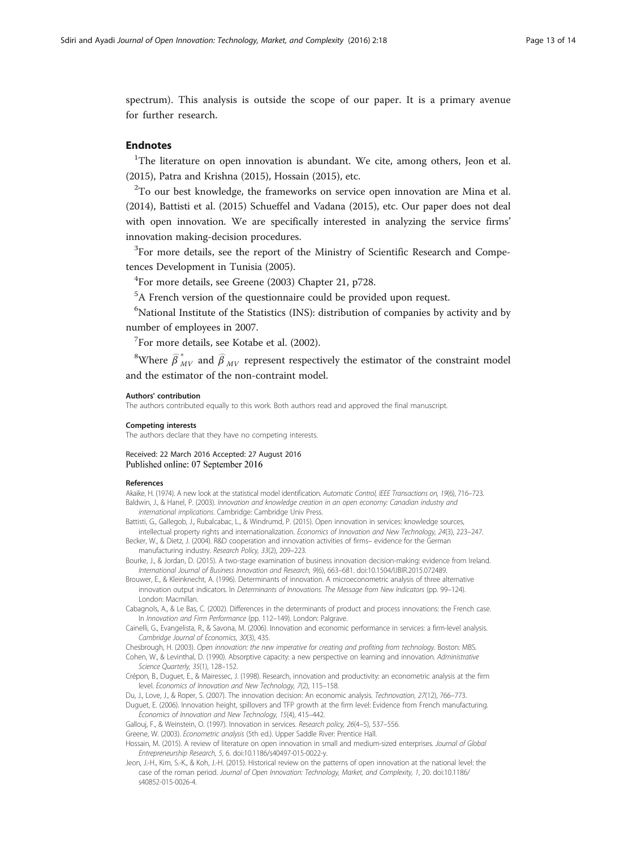<span id="page-12-0"></span>spectrum). This analysis is outside the scope of our paper. It is a primary avenue for further research.

### Endnotes

<sup>1</sup>The literature on open innovation is abundant. We cite, among others, Jeon et al. (2015), Patra and Krishna ([2015](#page-13-0)), Hossain (2015), etc.

 $2$ To our best knowledge, the frameworks on service open innovation are Mina et al. ([2014](#page-13-0)), Battisti et al. (2015) Schueffel and Vadana ([2015](#page-13-0)), etc. Our paper does not deal with open innovation. We are specifically interested in analyzing the service firms' innovation making-decision procedures.

<sup>3</sup>For more details, see the report of the Ministry of Scientific Research and Competences Development in Tunisia [\(2005\)](#page-13-0).

4 For more details, see Greene (2003) Chapter 21, p728.

<sup>5</sup>A French version of the questionnaire could be provided upon request.

<sup>6</sup>National Institute of the Statistics (INS): distribution of companies by activity and by number of employees in 2007.

<sup>7</sup>For more details, see Kotabe et al. ([2002](#page-13-0)).

 $^8$ Where  $\widehat{\beta}_{MV}^*$  and  $\widehat{\beta}_{MV}$  represent respectively the estimator of the constraint model and the estimator of the non-contraint model.

#### Authors' contribution

The authors contributed equally to this work. Both authors read and approved the final manuscript.

#### Competing interests

The authors declare that they have no competing interests.

#### Received: 22 March 2016 Accepted: 27 August 2016 Published online: 07 September 2016

#### References

Akaike, H. (1974). A new look at the statistical model identification. Automatic Control, IEEE Transactions on, 19(6), 716–723. Baldwin, J., & Hanel, P. (2003). Innovation and knowledge creation in an open economy: Canadian industry and international implications. Cambridge: Cambridge Univ Press.

Battisti, G., Gallegob, J., Rubalcabac, L., & Windrumd, P. (2015). Open innovation in services: knowledge sources, intellectual property rights and internationalization. Economics of Innovation and New Technology, 24(3), 223–247.

Becker, W., & Dietz, J. (2004). R&D cooperation and innovation activities of firms– evidence for the German manufacturing industry. Research Policy, 33(2), 209–223.

Bourke, J., & Jordan, D. (2015). A two-stage examination of business innovation decision-making: evidence from Ireland. International Journal of Business Innovation and Research, 9(6), 663–681. doi[:10.1504/IJBIR.2015.072489](http://dx.doi.org/10.1504/IJBIR.2015.072489).

- Brouwer, E., & Kleinknecht, A. (1996). Determinants of innovation. A microeconometric analysis of three alternative innovation output indicators. In Determinants of Innovations. The Message from New Indicators (pp. 99–124). London: Macmillan.
- Cabagnols, A., & Le Bas, C. (2002). Differences in the determinants of product and process innovations: the French case. In Innovation and Firm Performance (pp. 112–149). London: Palgrave.
- Cainelli, G., Evangelista, R., & Savona, M. (2006). Innovation and economic performance in services: a firm-level analysis. Cambridge Journal of Economics, 30(3), 435.

Chesbrough, H. (2003). Open innovation: the new imperative for creating and profiting from technology. Boston: MBS.

- Cohen, W., & Levinthal, D. (1990). Absorptive capacity: a new perspective on learning and innovation. Administrative Science Quarterly, 35(1), 128–152.
- Crépon, B., Duguet, E., & Mairessec, J. (1998). Research, innovation and productivity: an econometric analysis at the firm level. Economics of Innovation and New Technology, 7(2), 115–158.

Du, J., Love, J., & Roper, S. (2007). The innovation decision: An economic analysis. Technovation, 27(12), 766–773. Duguet, E. (2006). Innovation height, spillovers and TFP growth at the firm level: Evidence from French manufacturing. Economics of Innovation and New Technology, 15(4), 415–442.

Gallouj, F., & Weinstein, O. (1997). Innovation in services. Research policy, 26(4-5), 537-556.

Greene, W. (2003). Econometric analysis (5th ed.). Upper Saddle River: Prentice Hall.

Hossain, M. (2015). A review of literature on open innovation in small and medium-sized enterprises. Journal of Global Entrepreneurship Research, 5, 6. doi[:10.1186/s40497-015-0022-y](http://dx.doi.org/10.1186/s40497-015-0022-y).

Jeon, J.-H., Kim, S.-K., & Koh, J.-H. (2015). Historical review on the patterns of open innovation at the national level: the case of the roman period. Journal of Open Innovation: Technology, Market, and Complexity, 1, 20. doi[:10.1186/](http://dx.doi.org/10.1186/s40852-015-0026-4) [s40852-015-0026-4.](http://dx.doi.org/10.1186/s40852-015-0026-4)